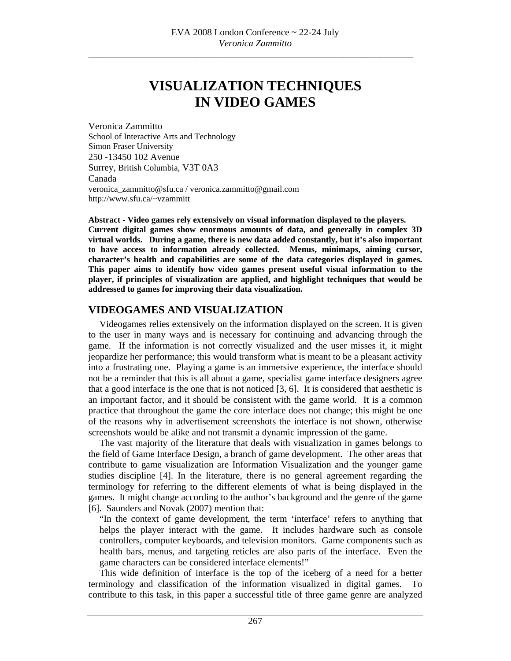# **VISUALIZATION TECHNIQUES IN VIDEO GAMES**

Veronica Zammitto School of Interactive Arts and Technology Simon Fraser University 250 -13450 102 Avenue Surrey, British Columbia, V3T 0A3 Canada veronica\_zammitto@sfu.ca / veronica.zammitto@gmail.com http://www.sfu.ca/~vzammitt

**Abstract - Video games rely extensively on visual information displayed to the players. Current digital games show enormous amounts of data, and generally in complex 3D virtual worlds. During a game, there is new data added constantly, but it's also important to have access to information already collected. Menus, minimaps, aiming cursor, character's health and capabilities are some of the data categories displayed in games. This paper aims to identify how video games present useful visual information to the player, if principles of visualization are applied, and highlight techniques that would be addressed to games for improving their data visualization.** 

### **VIDEOGAMES AND VISUALIZATION**

Videogames relies extensively on the information displayed on the screen. It is given to the user in many ways and is necessary for continuing and advancing through the game. If the information is not correctly visualized and the user misses it, it might jeopardize her performance; this would transform what is meant to be a pleasant activity into a frustrating one. Playing a game is an immersive experience, the interface should not be a reminder that this is all about a game, specialist game interface designers agree that a good interface is the one that is not noticed [3, 6]. It is considered that aesthetic is an important factor, and it should be consistent with the game world. It is a common practice that throughout the game the core interface does not change; this might be one of the reasons why in advertisement screenshots the interface is not shown, otherwise screenshots would be alike and not transmit a dynamic impression of the game.

The vast majority of the literature that deals with visualization in games belongs to the field of Game Interface Design, a branch of game development. The other areas that contribute to game visualization are Information Visualization and the younger game studies discipline [4]. In the literature, there is no general agreement regarding the terminology for referring to the different elements of what is being displayed in the games. It might change according to the author's background and the genre of the game [6]. Saunders and Novak (2007) mention that:

"In the context of game development, the term 'interface' refers to anything that helps the player interact with the game. It includes hardware such as console controllers, computer keyboards, and television monitors. Game components such as health bars, menus, and targeting reticles are also parts of the interface. Even the game characters can be considered interface elements!"

This wide definition of interface is the top of the iceberg of a need for a better terminology and classification of the information visualized in digital games. To contribute to this task, in this paper a successful title of three game genre are analyzed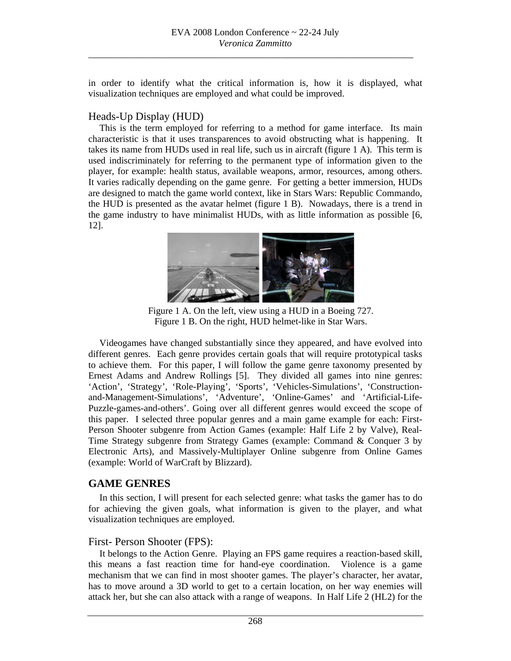in order to identify what the critical information is, how it is displayed, what visualization techniques are employed and what could be improved.

### Heads-Up Display (HUD)

This is the term employed for referring to a method for game interface. Its main characteristic is that it uses transparences to avoid obstructing what is happening. It takes its name from HUDs used in real life, such us in aircraft (figure 1 A). This term is used indiscriminately for referring to the permanent type of information given to the player, for example: health status, available weapons, armor, resources, among others. It varies radically depending on the game genre. For getting a better immersion, HUDs are designed to match the game world context, like in Stars Wars: Republic Commando, the HUD is presented as the avatar helmet (figure 1 B). Nowadays, there is a trend in the game industry to have minimalist HUDs, with as little information as possible [6, 12].



Figure 1 A. On the left, view using a HUD in a Boeing 727. Figure 1 B. On the right, HUD helmet-like in Star Wars.

Videogames have changed substantially since they appeared, and have evolved into different genres. Each genre provides certain goals that will require prototypical tasks to achieve them. For this paper, I will follow the game genre taxonomy presented by Ernest Adams and Andrew Rollings [5]. They divided all games into nine genres: 'Action', 'Strategy', 'Role-Playing', 'Sports', 'Vehicles-Simulations', 'Constructionand-Management-Simulations', 'Adventure', 'Online-Games' and 'Artificial-Life-Puzzle-games-and-others'. Going over all different genres would exceed the scope of this paper. I selected three popular genres and a main game example for each: First-Person Shooter subgenre from Action Games (example: Half Life 2 by Valve), Real-Time Strategy subgenre from Strategy Games (example: Command & Conquer 3 by Electronic Arts), and Massively-Multiplayer Online subgenre from Online Games (example: World of WarCraft by Blizzard).

#### **GAME GENRES**

In this section, I will present for each selected genre: what tasks the gamer has to do for achieving the given goals, what information is given to the player, and what visualization techniques are employed.

#### First- Person Shooter (FPS):

It belongs to the Action Genre. Playing an FPS game requires a reaction-based skill, this means a fast reaction time for hand-eye coordination. Violence is a game mechanism that we can find in most shooter games. The player's character, her avatar, has to move around a 3D world to get to a certain location, on her way enemies will attack her, but she can also attack with a range of weapons. In Half Life 2 (HL2) for the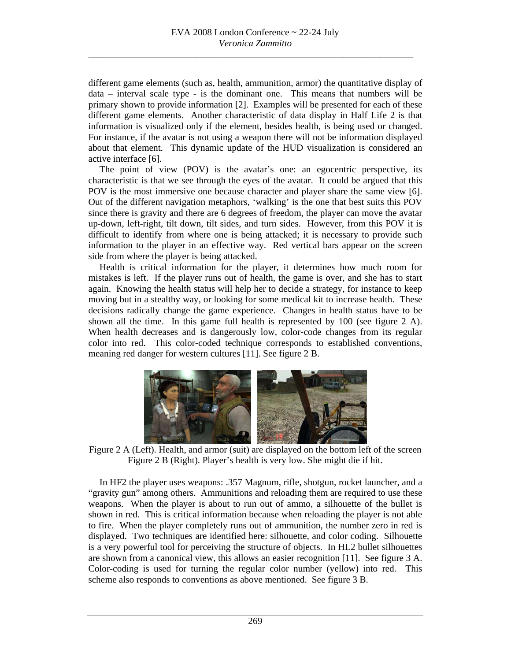different game elements (such as, health, ammunition, armor) the quantitative display of data – interval scale type - is the dominant one. This means that numbers will be primary shown to provide information [2]. Examples will be presented for each of these different game elements. Another characteristic of data display in Half Life 2 is that information is visualized only if the element, besides health, is being used or changed. For instance, if the avatar is not using a weapon there will not be information displayed about that element. This dynamic update of the HUD visualization is considered an active interface [6].

The point of view (POV) is the avatar's one: an egocentric perspective, its characteristic is that we see through the eyes of the avatar. It could be argued that this POV is the most immersive one because character and player share the same view [6]. Out of the different navigation metaphors, 'walking' is the one that best suits this POV since there is gravity and there are 6 degrees of freedom, the player can move the avatar up-down, left-right, tilt down, tilt sides, and turn sides. However, from this POV it is difficult to identify from where one is being attacked; it is necessary to provide such information to the player in an effective way. Red vertical bars appear on the screen side from where the player is being attacked.

Health is critical information for the player, it determines how much room for mistakes is left. If the player runs out of health, the game is over, and she has to start again. Knowing the health status will help her to decide a strategy, for instance to keep moving but in a stealthy way, or looking for some medical kit to increase health. These decisions radically change the game experience. Changes in health status have to be shown all the time. In this game full health is represented by 100 (see figure 2 A). When health decreases and is dangerously low, color-code changes from its regular color into red. This color-coded technique corresponds to established conventions, meaning red danger for western cultures [11]. See figure 2 B.



 Figure 2 A (Left). Health, and armor (suit) are displayed on the bottom left of the screen Figure 2 B (Right). Player's health is very low. She might die if hit.

In HF2 the player uses weapons: .357 Magnum, rifle, shotgun, rocket launcher, and a "gravity gun" among others. Ammunitions and reloading them are required to use these weapons. When the player is about to run out of ammo, a silhouette of the bullet is shown in red. This is critical information because when reloading the player is not able to fire. When the player completely runs out of ammunition, the number zero in red is displayed. Two techniques are identified here: silhouette, and color coding. Silhouette is a very powerful tool for perceiving the structure of objects. In HL2 bullet silhouettes are shown from a canonical view, this allows an easier recognition [11]. See figure 3 A. Color-coding is used for turning the regular color number (yellow) into red. This scheme also responds to conventions as above mentioned. See figure 3 B.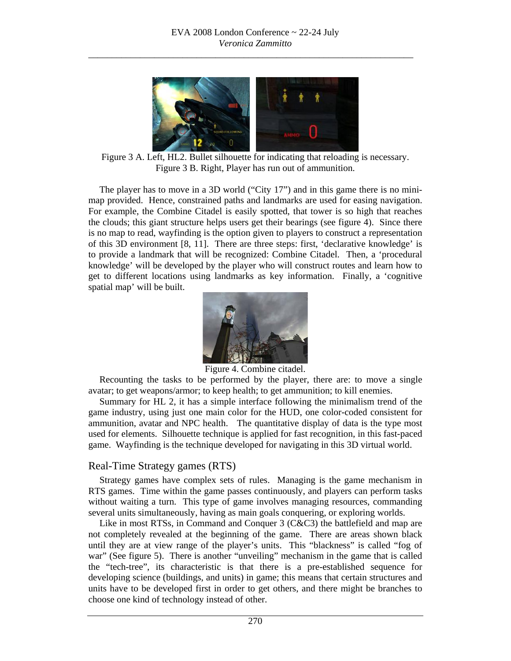

 Figure 3 A. Left, HL2. Bullet silhouette for indicating that reloading is necessary. Figure 3 B. Right, Player has run out of ammunition.

The player has to move in a 3D world ("City 17") and in this game there is no minimap provided. Hence, constrained paths and landmarks are used for easing navigation. For example, the Combine Citadel is easily spotted, that tower is so high that reaches the clouds; this giant structure helps users get their bearings (see figure 4). Since there is no map to read, wayfinding is the option given to players to construct a representation of this 3D environment [8, 11]. There are three steps: first, 'declarative knowledge' is to provide a landmark that will be recognized: Combine Citadel. Then, a 'procedural knowledge' will be developed by the player who will construct routes and learn how to get to different locations using landmarks as key information. Finally, a 'cognitive spatial map' will be built.



Figure 4. Combine citadel.

Recounting the tasks to be performed by the player, there are: to move a single avatar; to get weapons/armor; to keep health; to get ammunition; to kill enemies.

Summary for HL 2, it has a simple interface following the minimalism trend of the game industry, using just one main color for the HUD, one color-coded consistent for ammunition, avatar and NPC health. The quantitative display of data is the type most used for elements. Silhouette technique is applied for fast recognition, in this fast-paced game. Wayfinding is the technique developed for navigating in this 3D virtual world.

#### Real-Time Strategy games (RTS)

Strategy games have complex sets of rules. Managing is the game mechanism in RTS games. Time within the game passes continuously, and players can perform tasks without waiting a turn. This type of game involves managing resources, commanding several units simultaneously, having as main goals conquering, or exploring worlds.

Like in most RTSs, in Command and Conquer 3 (C&C3) the battlefield and map are not completely revealed at the beginning of the game. There are areas shown black until they are at view range of the player's units. This "blackness" is called "fog of war" (See figure 5). There is another "unveiling" mechanism in the game that is called the "tech-tree", its characteristic is that there is a pre-established sequence for developing science (buildings, and units) in game; this means that certain structures and units have to be developed first in order to get others, and there might be branches to choose one kind of technology instead of other.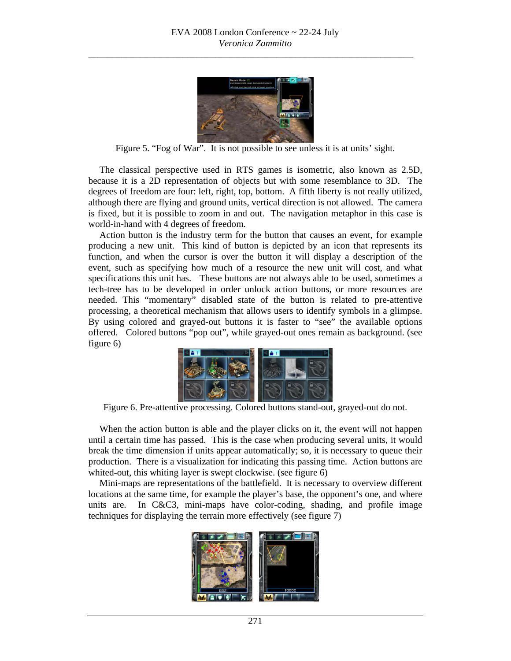

Figure 5. "Fog of War". It is not possible to see unless it is at units' sight.

The classical perspective used in RTS games is isometric, also known as 2.5D, because it is a 2D representation of objects but with some resemblance to 3D. The degrees of freedom are four: left, right, top, bottom. A fifth liberty is not really utilized, although there are flying and ground units, vertical direction is not allowed. The camera is fixed, but it is possible to zoom in and out. The navigation metaphor in this case is world-in-hand with 4 degrees of freedom.

Action button is the industry term for the button that causes an event, for example producing a new unit. This kind of button is depicted by an icon that represents its function, and when the cursor is over the button it will display a description of the event, such as specifying how much of a resource the new unit will cost, and what specifications this unit has. These buttons are not always able to be used, sometimes a tech-tree has to be developed in order unlock action buttons, or more resources are needed. This "momentary" disabled state of the button is related to pre-attentive processing, a theoretical mechanism that allows users to identify symbols in a glimpse. By using colored and grayed-out buttons it is faster to "see" the available options offered. Colored buttons "pop out", while grayed-out ones remain as background. (see figure 6)



Figure 6. Pre-attentive processing. Colored buttons stand-out, grayed-out do not.

When the action button is able and the player clicks on it, the event will not happen until a certain time has passed. This is the case when producing several units, it would break the time dimension if units appear automatically; so, it is necessary to queue their production. There is a visualization for indicating this passing time. Action buttons are whited-out, this whiting layer is swept clockwise. (see figure 6)

Mini-maps are representations of the battlefield. It is necessary to overview different locations at the same time, for example the player's base, the opponent's one, and where units are. In C&C3, mini-maps have color-coding, shading, and profile image techniques for displaying the terrain more effectively (see figure 7)

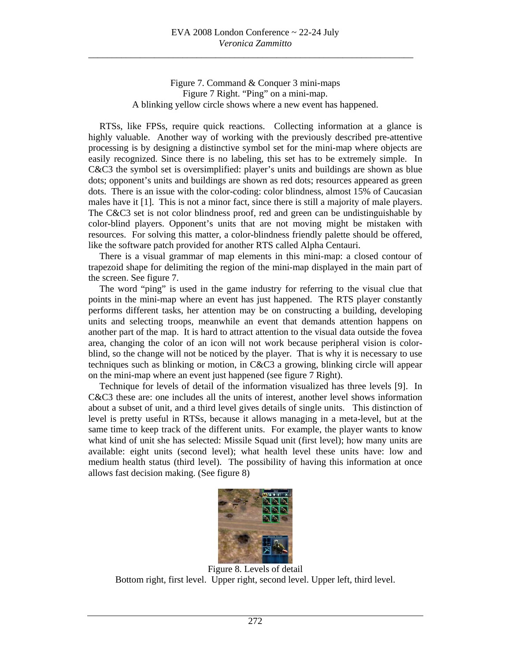Figure 7. Command & Conquer 3 mini-maps Figure 7 Right. "Ping" on a mini-map. A blinking yellow circle shows where a new event has happened.

RTSs, like FPSs, require quick reactions. Collecting information at a glance is highly valuable. Another way of working with the previously described pre-attentive processing is by designing a distinctive symbol set for the mini-map where objects are easily recognized. Since there is no labeling, this set has to be extremely simple. In C&C3 the symbol set is oversimplified: player's units and buildings are shown as blue dots; opponent's units and buildings are shown as red dots; resources appeared as green dots. There is an issue with the color-coding: color blindness, almost 15% of Caucasian males have it [1]. This is not a minor fact, since there is still a majority of male players. The C&C3 set is not color blindness proof, red and green can be undistinguishable by color-blind players. Opponent's units that are not moving might be mistaken with resources. For solving this matter, a color-blindness friendly palette should be offered, like the software patch provided for another RTS called Alpha Centauri.

There is a visual grammar of map elements in this mini-map: a closed contour of trapezoid shape for delimiting the region of the mini-map displayed in the main part of the screen. See figure 7.

The word "ping" is used in the game industry for referring to the visual clue that points in the mini-map where an event has just happened. The RTS player constantly performs different tasks, her attention may be on constructing a building, developing units and selecting troops, meanwhile an event that demands attention happens on another part of the map. It is hard to attract attention to the visual data outside the fovea area, changing the color of an icon will not work because peripheral vision is colorblind, so the change will not be noticed by the player. That is why it is necessary to use techniques such as blinking or motion, in C&C3 a growing, blinking circle will appear on the mini-map where an event just happened (see figure 7 Right).

Technique for levels of detail of the information visualized has three levels [9]. In C&C3 these are: one includes all the units of interest, another level shows information about a subset of unit, and a third level gives details of single units. This distinction of level is pretty useful in RTSs, because it allows managing in a meta-level, but at the same time to keep track of the different units. For example, the player wants to know what kind of unit she has selected: Missile Squad unit (first level); how many units are available: eight units (second level); what health level these units have: low and medium health status (third level). The possibility of having this information at once allows fast decision making. (See figure 8)



Figure 8. Levels of detail Bottom right, first level. Upper right, second level. Upper left, third level.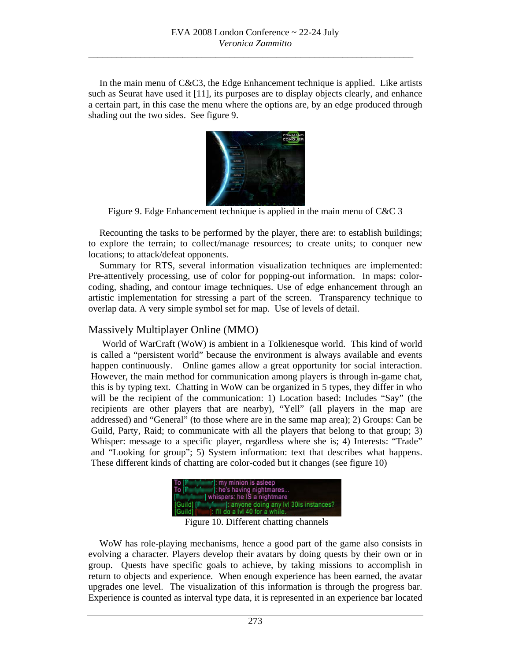In the main menu of C&C3, the Edge Enhancement technique is applied. Like artists such as Seurat have used it [11], its purposes are to display objects clearly, and enhance a certain part, in this case the menu where the options are, by an edge produced through shading out the two sides. See figure 9.



Figure 9. Edge Enhancement technique is applied in the main menu of C&C 3

Recounting the tasks to be performed by the player, there are: to establish buildings; to explore the terrain; to collect/manage resources; to create units; to conquer new locations; to attack/defeat opponents.

Summary for RTS, several information visualization techniques are implemented: Pre-attentively processing, use of color for popping-out information. In maps: colorcoding, shading, and contour image techniques. Use of edge enhancement through an artistic implementation for stressing a part of the screen. Transparency technique to overlap data. A very simple symbol set for map. Use of levels of detail.

#### Massively Multiplayer Online (MMO)

World of WarCraft (WoW) is ambient in a Tolkienesque world. This kind of world is called a "persistent world" because the environment is always available and events happen continuously. Online games allow a great opportunity for social interaction. However, the main method for communication among players is through in-game chat, this is by typing text. Chatting in WoW can be organized in 5 types, they differ in who will be the recipient of the communication: 1) Location based: Includes "Say" (the recipients are other players that are nearby), "Yell" (all players in the map are addressed) and "General" (to those where are in the same map area); 2) Groups: Can be Guild, Party, Raid; to communicate with all the players that belong to that group; 3) Whisper: message to a specific player, regardless where she is; 4) Interests: "Trade" and "Looking for group"; 5) System information: text that describes what happens. These different kinds of chatting are color-coded but it changes (see figure 10)



Figure 10. Different chatting channels

WoW has role-playing mechanisms, hence a good part of the game also consists in evolving a character. Players develop their avatars by doing quests by their own or in group. Quests have specific goals to achieve, by taking missions to accomplish in return to objects and experience. When enough experience has been earned, the avatar upgrades one level. The visualization of this information is through the progress bar. Experience is counted as interval type data, it is represented in an experience bar located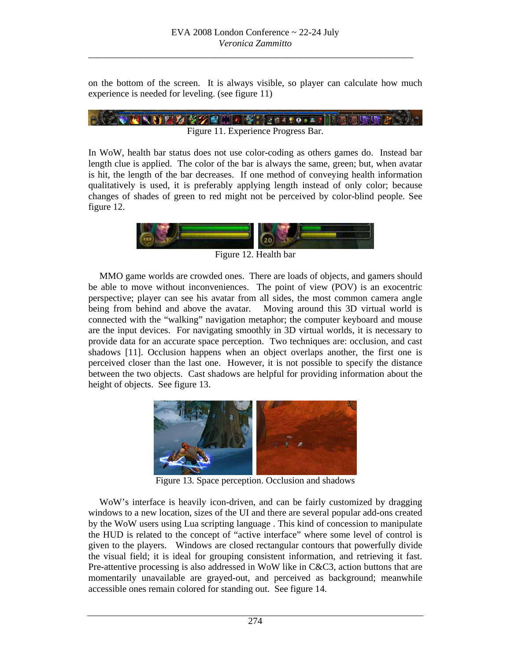on the bottom of the screen. It is always visible, so player can calculate how much experience is needed for leveling. (see figure 11)

$$
\mathbb{E}\left(\mathbb{E}[\mathbf{V} \mid \mathbf{V} \mid \mathbf{V} \mid \mathbf{V} \mid \mathbf{V} \mid \mathbf{V} \mid \mathbf{V} \mid \mathbf{V} \mid \mathbf{V} \mid \mathbf{V} \mid \mathbf{V} \mid \mathbf{V} \mid \mathbf{V} \mid \mathbf{V} \mid \mathbf{V} \mid \mathbf{V} \mid \mathbf{V} \mid \mathbf{V} \mid \mathbf{V} \mid \mathbf{V} \mid \mathbf{V} \mid \mathbf{V} \mid \mathbf{V} \mid \mathbf{V} \mid \mathbf{V} \mid \mathbf{V} \mid \mathbf{V} \mid \mathbf{V} \mid \mathbf{V} \mid \mathbf{V} \mid \mathbf{V} \mid \mathbf{V} \mid \mathbf{V} \mid \mathbf{V} \mid \mathbf{V} \mid \mathbf{V} \mid \mathbf{V} \mid \mathbf{V} \mid \mathbf{V} \mid \mathbf{V} \mid \mathbf{V} \mid \mathbf{V} \mid \mathbf{V} \mid \mathbf{V} \mid \mathbf{V} \mid \mathbf{V} \mid \mathbf{V} \mid \mathbf{V} \mid \mathbf{V} \mid \mathbf{V} \mid \mathbf{V} \mid \mathbf{V} \mid \mathbf{V} \mid \mathbf{V} \mid \mathbf{V} \mid \mathbf{V} \mid \mathbf{V} \mid \mathbf{V} \mid \mathbf{V} \mid \mathbf{V} \mid \mathbf{V} \mid \mathbf{V} \mid \mathbf{V} \mid \mathbf{V} \mid \mathbf{V} \mid \mathbf{V} \mid \mathbf{V} \mid \mathbf{V} \mid \mathbf{V} \mid \mathbf{V} \mid \mathbf{V} \mid \mathbf{V} \mid \mathbf{V} \mid \mathbf{V} \mid \mathbf{V} \mid \mathbf{V} \mid \mathbf{V} \mid \mathbf{V} \mid \mathbf{V} \mid \mathbf{V} \mid \mathbf{V} \mid \mathbf{V} \mid \mathbf{V} \mid \mathbf{V} \mid \mathbf{V} \mid \mathbf{V} \mid \mathbf{V} \mid \mathbf{V} \mid \mathbf{V} \mid \mathbf{V} \mid \mathbf{V} \mid \mathbf{V} \mid \mathbf{V} \mid \mathbf
$$

In WoW, health bar status does not use color-coding as others games do. Instead bar length clue is applied. The color of the bar is always the same, green; but, when avatar is hit, the length of the bar decreases. If one method of conveying health information qualitatively is used, it is preferably applying length instead of only color; because changes of shades of green to red might not be perceived by color-blind people. See

figure 12.



Figure 12. Health bar

MMO game worlds are crowded ones. There are loads of objects, and gamers should be able to move without inconveniences. The point of view (POV) is an exocentric perspective; player can see his avatar from all sides, the most common camera angle being from behind and above the avatar. Moving around this 3D virtual world is connected with the "walking" navigation metaphor; the computer keyboard and mouse are the input devices. For navigating smoothly in 3D virtual worlds, it is necessary to provide data for an accurate space perception. Two techniques are: occlusion, and cast shadows [11]. Occlusion happens when an object overlaps another, the first one is perceived closer than the last one. However, it is not possible to specify the distance between the two objects. Cast shadows are helpful for providing information about the height of objects. See figure 13.



Figure 13. Space perception. Occlusion and shadows

WoW's interface is heavily icon-driven, and can be fairly customized by dragging windows to a new location, sizes of the UI and there are several popular add-ons created by the WoW users using Lua scripting language . This kind of concession to manipulate the HUD is related to the concept of "active interface" where some level of control is given to the players. Windows are closed rectangular contours that powerfully divide the visual field; it is ideal for grouping consistent information, and retrieving it fast. Pre-attentive processing is also addressed in WoW like in C&C3, action buttons that are momentarily unavailable are grayed-out, and perceived as background; meanwhile accessible ones remain colored for standing out. See figure 14.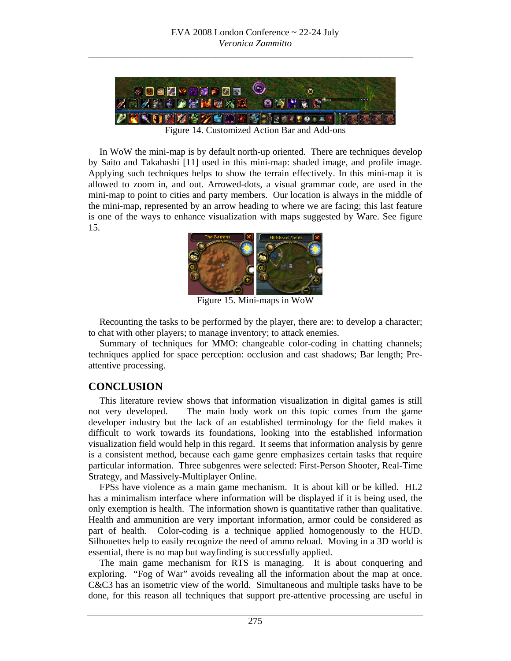

Figure 14. Customized Action Bar and Add-ons

In WoW the mini-map is by default north-up oriented. There are techniques develop by Saito and Takahashi [11] used in this mini-map: shaded image, and profile image. Applying such techniques helps to show the terrain effectively. In this mini-map it is allowed to zoom in, and out. Arrowed-dots, a visual grammar code, are used in the mini-map to point to cities and party members. Our location is always in the middle of the mini-map, represented by an arrow heading to where we are facing; this last feature is one of the ways to enhance visualization with maps suggested by Ware. See figure 15.



Figure 15. Mini-maps in WoW

Recounting the tasks to be performed by the player, there are: to develop a character; to chat with other players; to manage inventory; to attack enemies.

Summary of techniques for MMO: changeable color-coding in chatting channels; techniques applied for space perception: occlusion and cast shadows; Bar length; Preattentive processing.

## **CONCLUSION**

This literature review shows that information visualization in digital games is still not very developed. The main body work on this topic comes from the game developer industry but the lack of an established terminology for the field makes it difficult to work towards its foundations, looking into the established information visualization field would help in this regard. It seems that information analysis by genre is a consistent method, because each game genre emphasizes certain tasks that require particular information. Three subgenres were selected: First-Person Shooter, Real-Time Strategy, and Massively-Multiplayer Online.

FPSs have violence as a main game mechanism. It is about kill or be killed. HL2 has a minimalism interface where information will be displayed if it is being used, the only exemption is health. The information shown is quantitative rather than qualitative. Health and ammunition are very important information, armor could be considered as part of health. Color-coding is a technique applied homogenously to the HUD. Silhouettes help to easily recognize the need of ammo reload. Moving in a 3D world is essential, there is no map but wayfinding is successfully applied.

The main game mechanism for RTS is managing. It is about conquering and exploring. "Fog of War" avoids revealing all the information about the map at once. C&C3 has an isometric view of the world. Simultaneous and multiple tasks have to be done, for this reason all techniques that support pre-attentive processing are useful in